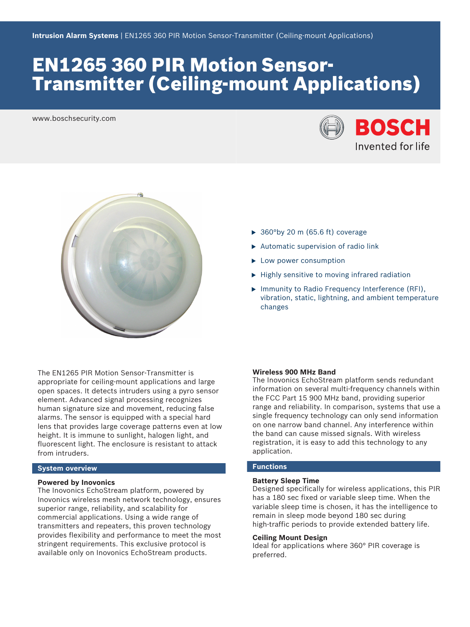# EN1265 360 PIR Motion Sensor-Transmitter (Ceiling-mount Applications)

www.boschsecurity.com





- $\blacktriangleright$  360°by 20 m (65.6 ft) coverage
- $\blacktriangleright$  Automatic supervision of radio link
- $\blacktriangleright$  Low power consumption
- $\blacktriangleright$  Highly sensitive to moving infrared radiation
- ▶ Immunity to Radio Frequency Interference (RFI), vibration, static, lightning, and ambient temperature changes

The EN1265 PIR Motion Sensor‑Transmitter is appropriate for ceiling-mount applications and large open spaces. It detects intruders using a pyro sensor element. Advanced signal processing recognizes human signature size and movement, reducing false alarms. The sensor is equipped with a special hard lens that provides large coverage patterns even at low height. It is immune to sunlight, halogen light, and fluorescent light. The enclosure is resistant to attack from intruders.

# **System overview**

#### **Powered by Inovonics**

The Inovonics EchoStream platform, powered by Inovonics wireless mesh network technology, ensures superior range, reliability, and scalability for commercial applications. Using a wide range of transmitters and repeaters, this proven technology provides flexibility and performance to meet the most stringent requirements. This exclusive protocol is available only on Inovonics EchoStream products.

### **Wireless 900 MHz Band**

The Inovonics EchoStream platform sends redundant information on several multi-frequency channels within the FCC Part 15 900 MHz band, providing superior range and reliability. In comparison, systems that use a single frequency technology can only send information on one narrow band channel. Any interference within the band can cause missed signals. With wireless registration, it is easy to add this technology to any application.

# **Functions**

### **Battery Sleep Time**

Designed specifically for wireless applications, this PIR has a 180 sec fixed or variable sleep time. When the variable sleep time is chosen, it has the intelligence to remain in sleep mode beyond 180 sec during high-traffic periods to provide extended battery life.

# **Ceiling Mount Design**

Ideal for applications where 360° PIR coverage is preferred.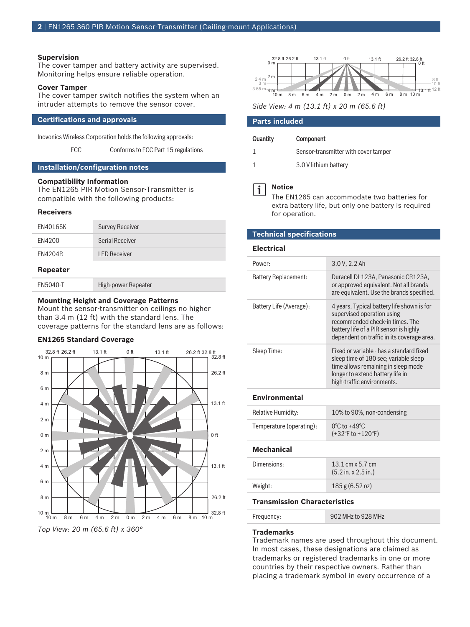#### **Supervision**

The cover tamper and battery activity are supervised. Monitoring helps ensure reliable operation.

#### **Cover Tamper**

The cover tamper switch notifies the system when an intruder attempts to remove the sensor cover.

# **Certifications and approvals**

Inovonics Wireless Corporation holds the following approvals:

FCC Conforms to FCC Part 15 regulations

#### **Installation/configuration notes**

### **Compatibility Information**

The EN1265 PIR Motion Sensor‑Transmitter is compatible with the following products:

#### **Receivers**

| <b>EN4016SK</b> | <b>Survey Receiver</b> |  |
|-----------------|------------------------|--|
| EN4200          | Serial Receiver        |  |
| EN4204R         | <b>LED Receiver</b>    |  |
| <b>Repeater</b> |                        |  |

EN5040-T High-power Repeater

#### **Mounting Height and Coverage Patterns**

Mount the sensor-transmitter on ceilings no higher than 3.4 m (12 ft) with the standard lens. The coverage patterns for the standard lens are as follows:

#### **EN1265 Standard Coverage**







*Side View: 4 m (13.1 ft) x 20 m (65.6 ft)*

#### **Parts included**

#### Quantity Component

| Sensor-transmitter with cover tamper |  |
|--------------------------------------|--|
|                                      |  |

1 3.0 V lithium battery

# **Notice**

i

The EN1265 can accommodate two batteries for extra battery life, but only one battery is required for operation.

### **Technical specifications**

#### **Electrical**

| Power:                  | 3.0 V, 2.2 Ah                                                                                                                                                                                       |
|-------------------------|-----------------------------------------------------------------------------------------------------------------------------------------------------------------------------------------------------|
| Battery Replacement:    | Duracell DL123A. Panasonic CR123A.<br>or approved equivalent. Not all brands<br>are equivalent. Use the brands specified.                                                                           |
| Battery Life (Average): | 4 years. Typical battery life shown is for<br>supervised operation using<br>recommended check-in times. The<br>battery life of a PIR sensor is highly<br>dependent on traffic in its coverage area. |
| Sleep Time:             | Fixed or variable - has a standard fixed<br>sleep time of 180 sec; variable sleep<br>time allows remaining in sleep mode<br>longer to extend battery life in<br>high-traffic environments.          |
|                         |                                                                                                                                                                                                     |

#### **Environmental**

| <b>Relative Humidity:</b> | 10% to 90%, non-condensing                                                      |
|---------------------------|---------------------------------------------------------------------------------|
| Temperature (operating):  | $0^{\circ}$ C to +49 $^{\circ}$ C<br>$(+32^{\circ}F \text{ to } +120^{\circ}F)$ |

# **Mechanical**

| Dimensions: | 13.1 cm $\times$ 5.7 cm<br>$(5.2 \text{ in. x } 2.5 \text{ in.})$ |
|-------------|-------------------------------------------------------------------|
| Weight:     | 185 g (6.52 oz)                                                   |

# **Transmission Characteristics**

| Frequency: | 902 MHz to 928 MHz |
|------------|--------------------|
|------------|--------------------|

#### **Trademarks**

Trademark names are used throughout this document. In most cases, these designations are claimed as trademarks or registered trademarks in one or more countries by their respective owners. Rather than placing a trademark symbol in every occurrence of a